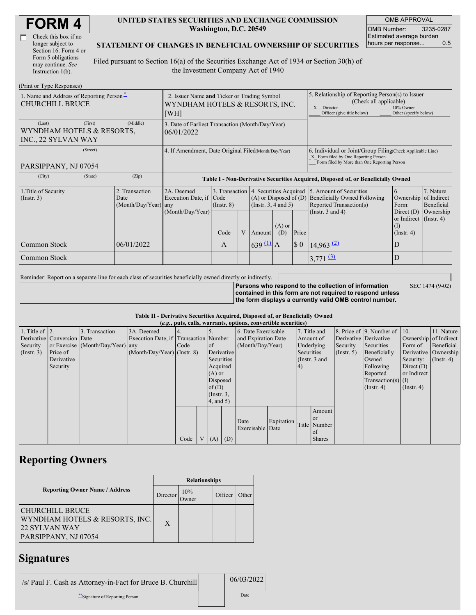| <b>FORM4</b> |
|--------------|
|--------------|

| Check this box if no  |
|-----------------------|
| longer subject to     |
| Section 16. Form 4 or |
| Form 5 obligations    |
| may continue. See     |
| Instruction $1(b)$ .  |

#### **UNITED STATES SECURITIES AND EXCHANGE COMMISSION Washington, D.C. 20549**

OMB APPROVAL OMB Number: 3235-0287 Estimated average burden hours per response... 0.5

#### **STATEMENT OF CHANGES IN BENEFICIAL OWNERSHIP OF SECURITIES**

Filed pursuant to Section 16(a) of the Securities Exchange Act of 1934 or Section 30(h) of the Investment Company Act of 1940

| (Print or Type Responses)                                             |                                                  |                                                                                       |                 |   |                                                                                                 |                                                                                                                        |                                                                                                                                                    |                                                                                    |                                                                   |           |
|-----------------------------------------------------------------------|--------------------------------------------------|---------------------------------------------------------------------------------------|-----------------|---|-------------------------------------------------------------------------------------------------|------------------------------------------------------------------------------------------------------------------------|----------------------------------------------------------------------------------------------------------------------------------------------------|------------------------------------------------------------------------------------|-------------------------------------------------------------------|-----------|
| 1. Name and Address of Reporting Person-<br><b>CHURCHILL BRUCE</b>    |                                                  | 2. Issuer Name and Ticker or Trading Symbol<br>WYNDHAM HOTELS & RESORTS, INC.<br>[WH] |                 |   |                                                                                                 | 5. Relationship of Reporting Person(s) to Issuer<br>(Check all applicable)<br>X Director<br>Officer (give title below) | 10% Owner<br>Other (specify below)                                                                                                                 |                                                                                    |                                                                   |           |
| (First)<br>(Last)<br>WYNDHAM HOTELS & RESORTS,<br>INC., 22 SYLVAN WAY | (Middle)                                         | 3. Date of Earliest Transaction (Month/Day/Year)<br>06/01/2022                        |                 |   |                                                                                                 |                                                                                                                        |                                                                                                                                                    |                                                                                    |                                                                   |           |
| (Street)<br>PARSIPPANY, NJ 07054                                      |                                                  | 4. If Amendment, Date Original Filed(Month/Day/Year)                                  |                 |   |                                                                                                 |                                                                                                                        | 6. Individual or Joint/Group Filing Check Applicable Line)<br>X Form filed by One Reporting Person<br>Form filed by More than One Reporting Person |                                                                                    |                                                                   |           |
| (City)<br>(State)                                                     | (Zip)                                            |                                                                                       |                 |   |                                                                                                 |                                                                                                                        |                                                                                                                                                    | Table I - Non-Derivative Securities Acquired, Disposed of, or Beneficially Owned   |                                                                   |           |
| 1. Title of Security<br>$($ Instr. 3 $)$                              | 2. Transaction<br>Date<br>$(Month/Day/Year)$ any | 2A. Deemed<br>Execution Date, if Code                                                 | $($ Instr. $8)$ |   | 3. Transaction 4. Securities Acquired<br>$(A)$ or Disposed of $(D)$<br>(Instr. $3, 4$ and $5$ ) |                                                                                                                        |                                                                                                                                                    | 5. Amount of Securities<br>Beneficially Owned Following<br>Reported Transaction(s) | 7. Nature<br>6.<br>Ownership of Indirect<br>Form:<br>Beneficial   |           |
|                                                                       |                                                  | (Month/Day/Year)                                                                      | Code            | V | Amount                                                                                          | $(A)$ or<br>(D)                                                                                                        | Price                                                                                                                                              | (Instr. $3$ and $4$ )                                                              | Direct $(D)$<br>or Indirect (Instr. 4)<br>(1)<br>$($ Instr. 4 $)$ | Ownership |
| Common Stock                                                          | 06/01/2022                                       |                                                                                       | $\mathsf{A}$    |   | $639 \underline{11}$ A                                                                          |                                                                                                                        | $\boldsymbol{\mathsf{S}}$ 0                                                                                                                        | $14,963 \frac{2}{2}$                                                               | D                                                                 |           |
| <b>Common Stock</b>                                                   |                                                  |                                                                                       |                 |   |                                                                                                 |                                                                                                                        |                                                                                                                                                    | $3,771$ (3)                                                                        | D                                                                 |           |

Reminder: Report on a separate line for each class of securities beneficially owned directly or indirectly.

**Persons who respond to the collection of information**

SEC 1474 (9-02)

**contained in this form are not required to respond unless the form displays a currently valid OMB control number.**

|  |  |  | Table II - Derivative Securities Acquired, Disposed of, or Beneficially Owned |  |
|--|--|--|-------------------------------------------------------------------------------|--|
|  |  |  |                                                                               |  |

|                        | (e.g., puts, calls, warrants, options, convertible securities) |                                  |                                       |      |  |                 |                     |                     |            |            |                 |                       |                              |                       |                      |
|------------------------|----------------------------------------------------------------|----------------------------------|---------------------------------------|------|--|-----------------|---------------------|---------------------|------------|------------|-----------------|-----------------------|------------------------------|-----------------------|----------------------|
| 1. Title of $\vert$ 2. |                                                                | 3. Transaction                   | 3A. Deemed                            |      |  |                 |                     | 6. Date Exercisable |            |            | 7. Title and    |                       | 8. Price of 9. Number of 10. |                       | 11. Nature           |
|                        | Derivative Conversion Date                                     |                                  | Execution Date, if Transaction Number |      |  |                 | and Expiration Date |                     | Amount of  |            |                 | Derivative Derivative |                              | Ownership of Indirect |                      |
| Security               |                                                                | or Exercise (Month/Day/Year) any |                                       | Code |  | <sub>of</sub>   |                     | (Month/Day/Year)    |            | Underlying |                 | Security              | Securities                   | Form of               | Beneficial           |
| $($ Instr. 3 $)$       | Price of                                                       |                                  | $(Month/Day/Year)$ (Instr. 8)         |      |  | Derivative      |                     |                     |            | Securities |                 | $($ Instr. 5 $)$      | Beneficially                 |                       | Derivative Ownership |
|                        | Derivative                                                     |                                  |                                       |      |  | Securities      |                     |                     |            |            | (Instr. $3$ and |                       | Owned                        | Security:             | $($ Instr. 4 $)$     |
|                        | Security                                                       |                                  |                                       |      |  | Acquired        |                     |                     |            | (4)        |                 |                       | Following                    | Direct $(D)$          |                      |
|                        |                                                                |                                  |                                       |      |  | $(A)$ or        |                     |                     |            |            |                 |                       | Reported                     | or Indirect           |                      |
|                        |                                                                |                                  |                                       |      |  | Disposed        |                     |                     |            |            |                 |                       | $Transaction(s)$ (I)         |                       |                      |
|                        |                                                                |                                  |                                       |      |  | of $(D)$        |                     |                     |            |            |                 |                       | $($ Instr. 4 $)$             | $($ Instr. 4 $)$      |                      |
|                        |                                                                |                                  |                                       |      |  | $($ Instr. $3,$ |                     |                     |            |            |                 |                       |                              |                       |                      |
|                        |                                                                |                                  |                                       |      |  | 4, and 5)       |                     |                     |            |            |                 |                       |                              |                       |                      |
|                        |                                                                |                                  |                                       |      |  |                 |                     |                     |            |            | Amount          |                       |                              |                       |                      |
|                        |                                                                |                                  |                                       |      |  |                 |                     | Date                | Expiration |            | <b>or</b>       |                       |                              |                       |                      |
|                        |                                                                |                                  |                                       |      |  |                 |                     | Exercisable Date    |            |            | Title Number    |                       |                              |                       |                      |
|                        |                                                                |                                  |                                       |      |  |                 |                     |                     |            |            | of              |                       |                              |                       |                      |
|                        |                                                                |                                  |                                       | Code |  | $V(A)$ (D)      |                     |                     |            |            | <b>Shares</b>   |                       |                              |                       |                      |

## **Reporting Owners**

|                                                                                                   |          | <b>Relationships</b> |         |       |
|---------------------------------------------------------------------------------------------------|----------|----------------------|---------|-------|
| <b>Reporting Owner Name / Address</b>                                                             | Director | 10%<br>Owner)        | Officer | Other |
| <b>CHURCHILL BRUCE</b><br>WYNDHAM HOTELS & RESORTS, INC.<br>22 SYLVAN WAY<br>PARSIPPANY, NJ 07054 | X        |                      |         |       |

### **Signatures**

| /s/ Paul F. Cash as Attorney-in-Fact for Bruce B. Churchill | 06/03/2022 |
|-------------------------------------------------------------|------------|
| Signature of Reporting Person                               | Date       |